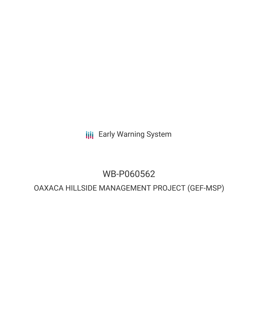**III** Early Warning System

# WB-P060562

# OAXACA HILLSIDE MANAGEMENT PROJECT (GEF-MSP)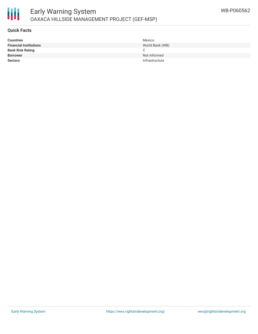

## **Quick Facts**

| <b>Countries</b>              | Mexico          |
|-------------------------------|-----------------|
| <b>Financial Institutions</b> | World Bank (WB) |
| <b>Bank Risk Rating</b>       | C.              |
| <b>Borrower</b>               | Not informed    |
| <b>Sectors</b>                | Infrastructure  |
|                               |                 |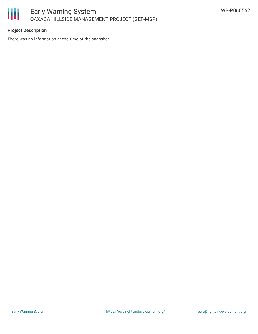

# **Project Description**

There was no information at the time of the snapshot.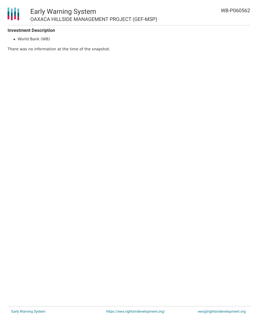

## **Investment Description**

World Bank (WB)

There was no information at the time of the snapshot.